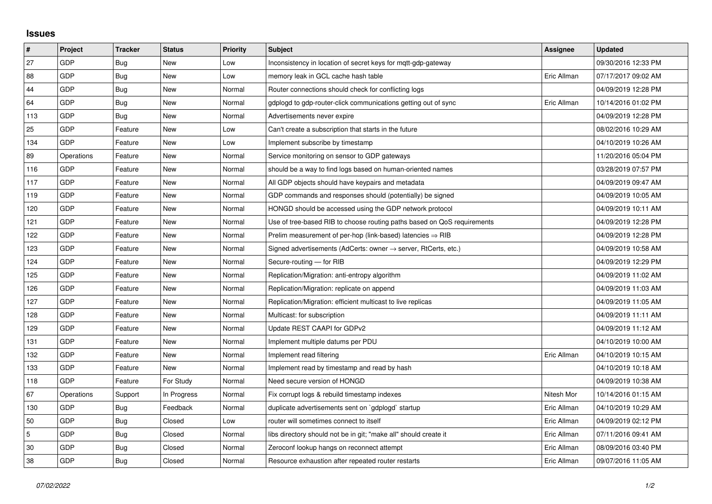## **Issues**

| #   | Project    | <b>Tracker</b> | <b>Status</b> | <b>Priority</b> | <b>Subject</b>                                                          | Assignee    | <b>Updated</b>      |
|-----|------------|----------------|---------------|-----------------|-------------------------------------------------------------------------|-------------|---------------------|
| 27  | GDP        | Bug            | <b>New</b>    | Low             | Inconsistency in location of secret keys for mqtt-gdp-gateway           |             | 09/30/2016 12:33 PM |
| 88  | GDP        | <b>Bug</b>     | New           | Low             | memory leak in GCL cache hash table                                     | Eric Allman | 07/17/2017 09:02 AM |
| 44  | GDP        | Bug            | New           | Normal          | Router connections should check for conflicting logs                    |             | 04/09/2019 12:28 PM |
| 64  | GDP        | <b>Bug</b>     | New           | Normal          | gdplogd to gdp-router-click communications getting out of sync          | Eric Allman | 10/14/2016 01:02 PM |
| 113 | GDP        | <b>Bug</b>     | <b>New</b>    | Normal          | Advertisements never expire                                             |             | 04/09/2019 12:28 PM |
| 25  | <b>GDP</b> | Feature        | New           | Low             | Can't create a subscription that starts in the future                   |             | 08/02/2016 10:29 AM |
| 134 | GDP        | Feature        | <b>New</b>    | Low             | Implement subscribe by timestamp                                        |             | 04/10/2019 10:26 AM |
| 89  | Operations | Feature        | New           | Normal          | Service monitoring on sensor to GDP gateways                            |             | 11/20/2016 05:04 PM |
| 116 | GDP        | Feature        | New           | Normal          | should be a way to find logs based on human-oriented names              |             | 03/28/2019 07:57 PM |
| 117 | GDP        | Feature        | <b>New</b>    | Normal          | All GDP objects should have keypairs and metadata                       |             | 04/09/2019 09:47 AM |
| 119 | <b>GDP</b> | Feature        | New           | Normal          | GDP commands and responses should (potentially) be signed               |             | 04/09/2019 10:05 AM |
| 120 | GDP        | Feature        | New           | Normal          | HONGD should be accessed using the GDP network protocol                 |             | 04/09/2019 10:11 AM |
| 121 | GDP        | Feature        | New           | Normal          | Use of tree-based RIB to choose routing paths based on QoS requirements |             | 04/09/2019 12:28 PM |
| 122 | GDP        | Feature        | New           | Normal          | Prelim measurement of per-hop (link-based) latencies $\Rightarrow$ RIB  |             | 04/09/2019 12:28 PM |
| 123 | GDP        | Feature        | <b>New</b>    | Normal          | Signed advertisements (AdCerts: owner → server, RtCerts, etc.)          |             | 04/09/2019 10:58 AM |
| 124 | GDP        | Feature        | New           | Normal          | Secure-routing - for RIB                                                |             | 04/09/2019 12:29 PM |
| 125 | <b>GDP</b> | Feature        | New           | Normal          | Replication/Migration: anti-entropy algorithm                           |             | 04/09/2019 11:02 AM |
| 126 | GDP        | Feature        | New           | Normal          | Replication/Migration: replicate on append                              |             | 04/09/2019 11:03 AM |
| 127 | GDP        | Feature        | <b>New</b>    | Normal          | Replication/Migration: efficient multicast to live replicas             |             | 04/09/2019 11:05 AM |
| 128 | GDP        | Feature        | New           | Normal          | Multicast: for subscription                                             |             | 04/09/2019 11:11 AM |
| 129 | GDP        | Feature        | New           | Normal          | Update REST CAAPI for GDPv2                                             |             | 04/09/2019 11:12 AM |
| 131 | GDP        | Feature        | <b>New</b>    | Normal          | Implement multiple datums per PDU                                       |             | 04/10/2019 10:00 AM |
| 132 | <b>GDP</b> | Feature        | New           | Normal          | Implement read filtering                                                | Eric Allman | 04/10/2019 10:15 AM |
| 133 | GDP        | Feature        | <b>New</b>    | Normal          | Implement read by timestamp and read by hash                            |             | 04/10/2019 10:18 AM |
| 118 | GDP        | Feature        | For Study     | Normal          | Need secure version of HONGD                                            |             | 04/09/2019 10:38 AM |
| 67  | Operations | Support        | In Progress   | Normal          | Fix corrupt logs & rebuild timestamp indexes                            | Nitesh Mor  | 10/14/2016 01:15 AM |
| 130 | GDP        | Bug            | Feedback      | Normal          | duplicate advertisements sent on `gdplogd` startup                      | Eric Allman | 04/10/2019 10:29 AM |
| 50  | GDP        | Bug            | Closed        | Low             | router will sometimes connect to itself                                 | Eric Allman | 04/09/2019 02:12 PM |
| 5   | GDP        | <b>Bug</b>     | Closed        | Normal          | libs directory should not be in git; "make all" should create it        | Eric Allman | 07/11/2016 09:41 AM |
| 30  | GDP        | Bug            | Closed        | Normal          | Zeroconf lookup hangs on reconnect attempt                              | Eric Allman | 08/09/2016 03:40 PM |
| 38  | GDP        | Bug            | Closed        | Normal          | Resource exhaustion after repeated router restarts                      | Eric Allman | 09/07/2016 11:05 AM |